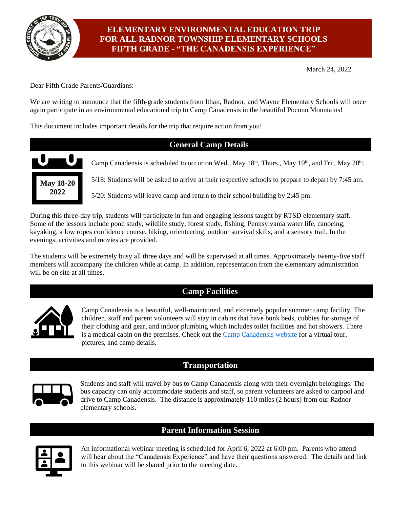

# **ELEMENTARY ENVIRONMENTAL EDUCATION TRIP FOR ALL RADNOR TOWNSHIP ELEMENTARY SCHOOLS FIFTH GRADE - "THE CANADENSIS EXPERIENCE"**

March 24, 2022

Dear Fifth Grade Parents/Guardians:

We are writing to announce that the fifth-grade students from Ithan, Radnor, and Wayne Elementary Schools will once again participate in an environmental educational trip to Camp Canadensis in the beautiful Pocono Mountains!

This document includes important details for the trip that require action from you!



During this three-day trip, students will participate in fun and engaging lessons taught by RTSD elementary staff. Some of the lessons include pond study, wildlife study, forest study, fishing, Pennsylvania water life, canoeing, kayaking, a low ropes confidence course, hiking, orienteering, outdoor survival skills, and a sensory trail. In the evenings, activities and movies are provided.

The students will be extremely busy all three days and will be supervised at all times. Approximately twenty-five staff members will accompany the children while at camp. In addition, representation from the elementary administration will be on site at all times.

# **Camp Facilities**



Camp Canadensis is a beautiful, well-maintained, and extremely popular summer camp facility. The children, staff and parent volunteers will stay in cabins that have bunk beds, cubbies for storage of their clothing and gear, and indoor plumbing which includes toilet facilities and hot showers. There is a medical cabin on the premises. Check out the [Camp Canadensis website](https://www.canadensis.com/) for a virtual tour, pictures, and camp details.

# **Transportation**



Students and staff will travel by bus to Camp Canadensis along with their overnight belongings. The bus capacity can only accommodate students and staff, so parent volunteers are asked to carpool and drive to Camp Canadensis. The distance is approximately 110 miles (2 hours) from our Radnor elementary schools.

# **Parent Information Session**



An informational webinar meeting is scheduled for April 6, 2022 at 6:00 pm. Parents who attend will hear about the "Canadensis Experience" and have their questions answered. The details and link to this webinar will be shared prior to the meeting date.